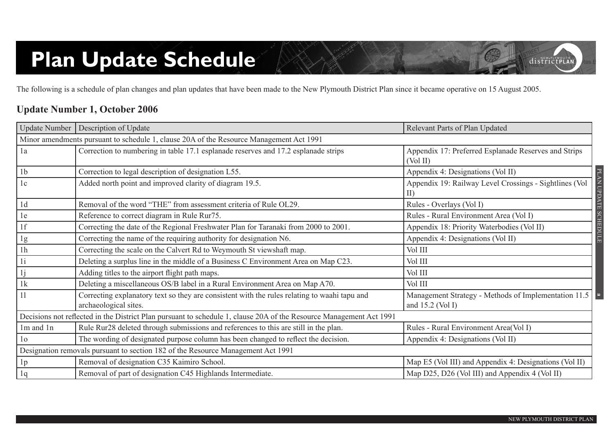# **Plan Update Schedule**

The following is a schedule of plan changes and plan updates that have been made to the New Plymouth District Plan since it became operative on 15 August 2005.

#### **Update Number 1, October 2006**

|                                                                                         | Update Number   Description of Update                                                                                 | Relevant Parts of Plan Updated                                               |  |  |
|-----------------------------------------------------------------------------------------|-----------------------------------------------------------------------------------------------------------------------|------------------------------------------------------------------------------|--|--|
| Minor amendments pursuant to schedule 1, clause 20A of the Resource Management Act 1991 |                                                                                                                       |                                                                              |  |  |
| 1a                                                                                      | Correction to numbering in table 17.1 esplanade reserves and 17.2 esplanade strips                                    | Appendix 17: Preferred Esplanade Reserves and Strips<br>(Vol II)             |  |  |
| 1 <sub>b</sub>                                                                          | Correction to legal description of designation L55.                                                                   | Appendix 4: Designations (Vol II)                                            |  |  |
| 1c                                                                                      | Added north point and improved clarity of diagram 19.5.                                                               | <b>PLAN UPDATE</b><br>Appendix 19: Railway Level Crossings - Sightlines (Vol |  |  |
| 1d                                                                                      | Removal of the word "THE" from assessment criteria of Rule OL29.                                                      | Rules - Overlays (Vol I)                                                     |  |  |
| 1e                                                                                      | Reference to correct diagram in Rule Rur75.                                                                           | Rules - Rural Environment Area (Vol I)                                       |  |  |
| 1f                                                                                      | Correcting the date of the Regional Freshwater Plan for Taranaki from 2000 to 2001.                                   | <b>SCHEDULE</b><br>Appendix 18: Priority Waterbodies (Vol II)                |  |  |
| 1g                                                                                      | Correcting the name of the requiring authority for designation N6.                                                    | Appendix 4: Designations (Vol II)                                            |  |  |
| 1 <sub>h</sub>                                                                          | Correcting the scale on the Calvert Rd to Weymouth St viewshaft map.                                                  | Vol III                                                                      |  |  |
| 1i                                                                                      | Deleting a surplus line in the middle of a Business C Environment Area on Map C23.                                    | Vol III                                                                      |  |  |
| 1j                                                                                      | Adding titles to the airport flight path maps.                                                                        | Vol III                                                                      |  |  |
| 1k                                                                                      | Deleting a miscellaneous OS/B label in a Rural Environment Area on Map A70.                                           | Vol III                                                                      |  |  |
| 11                                                                                      | Correcting explanatory text so they are consistent with the rules relating to waahi tapu and<br>archaeological sites. | Management Strategy - Methods of Implementation 11.5<br>and $15.2$ (Vol I)   |  |  |
|                                                                                         | Decisions not reflected in the District Plan pursuant to schedule 1, clause 20A of the Resource Management Act 1991   |                                                                              |  |  |
| 1m and 1n                                                                               | Rule Rur28 deleted through submissions and references to this are still in the plan.                                  | Rules - Rural Environment Area(Vol I)                                        |  |  |
| 1 <sub>o</sub>                                                                          | The wording of designated purpose column has been changed to reflect the decision.                                    | Appendix 4: Designations (Vol II)                                            |  |  |
|                                                                                         | Designation removals pursuant to section 182 of the Resource Management Act 1991                                      |                                                                              |  |  |
| 1 <sub>p</sub>                                                                          | Removal of designation C35 Kaimiro School.                                                                            | Map E5 (Vol III) and Appendix 4: Designations (Vol II)                       |  |  |
| 1q                                                                                      | Removal of part of designation C45 Highlands Intermediate.                                                            | Map D25, D26 (Vol III) and Appendix 4 (Vol II)                               |  |  |

districtPLAN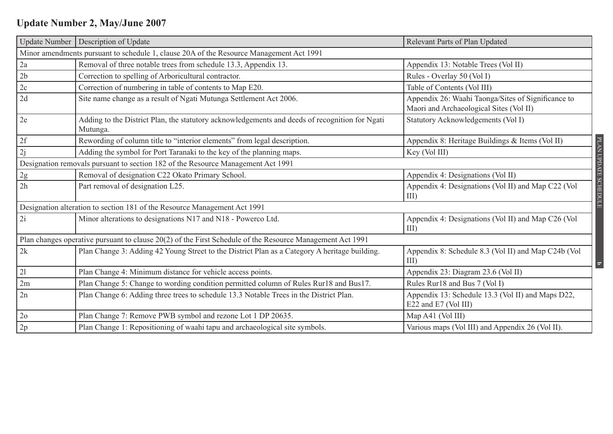### **Update Number 2, May/June 2007**

| <b>Update Number</b> | Description of Update                                                                                      | Relevant Parts of Plan Updated                                                                |
|----------------------|------------------------------------------------------------------------------------------------------------|-----------------------------------------------------------------------------------------------|
|                      | Minor amendments pursuant to schedule 1, clause 20A of the Resource Management Act 1991                    |                                                                                               |
| 2a                   | Removal of three notable trees from schedule 13.3, Appendix 13.                                            | Appendix 13: Notable Trees (Vol II)                                                           |
| 2b                   | Correction to spelling of Arboricultural contractor.                                                       | Rules - Overlay 50 (Vol I)                                                                    |
| 2c                   | Correction of numbering in table of contents to Map E20.                                                   | Table of Contents (Vol III)                                                                   |
| 2d                   | Site name change as a result of Ngati Mutunga Settlement Act 2006.                                         | Appendix 26: Waahi Taonga/Sites of Significance to<br>Maori and Archaeological Sites (Vol II) |
| 2e                   | Adding to the District Plan, the statutory acknowledgements and deeds of recognition for Ngati<br>Mutunga. | Statutory Acknowledgements (Vol I)                                                            |
| 2f                   | Rewording of column title to "interior elements" from legal description.                                   | Appendix 8: Heritage Buildings & Items (Vol II)                                               |
| 2j                   | Adding the symbol for Port Taranaki to the key of the planning maps.                                       | Key (Vol III)                                                                                 |
|                      | Designation removals pursuant to section 182 of the Resource Management Act 1991                           |                                                                                               |
| $2\mathrm{g}$        | Removal of designation C22 Okato Primary School.                                                           | Appendix 4: Designations (Vol II)                                                             |
| 2h                   | Part removal of designation L25.                                                                           | Appendix 4: Designations (Vol II) and Map C22 (Vol<br>$III$ )                                 |
|                      | Designation alteration to section 181 of the Resource Management Act 1991                                  |                                                                                               |
| 2i                   | Minor alterations to designations N17 and N18 - Powerco Ltd.                                               | Appendix 4: Designations (Vol II) and Map C26 (Vol<br>$III$ )                                 |
|                      | Plan changes operative pursuant to clause 20(2) of the First Schedule of the Resource Management Act 1991  |                                                                                               |
| 2k                   | Plan Change 3: Adding 42 Young Street to the District Plan as a Category A heritage building.              | Appendix 8: Schedule 8.3 (Vol II) and Map C24b (Vol<br>III                                    |
| 21                   | Plan Change 4: Minimum distance for vehicle access points.                                                 | Appendix 23: Diagram 23.6 (Vol II)                                                            |
| 2m                   | Plan Change 5: Change to wording condition permitted column of Rules Rur18 and Bus17.                      | Rules Rur18 and Bus 7 (Vol I)                                                                 |
| 2n                   | Plan Change 6: Adding three trees to schedule 13.3 Notable Trees in the District Plan.                     | Appendix 13: Schedule 13.3 (Vol II) and Maps D22,<br>E22 and E7 (Vol III)                     |
| 2 <sub>o</sub>       | Plan Change 7: Remove PWB symbol and rezone Lot 1 DP 20635.                                                | Map A41 (Vol III)                                                                             |
| 2p                   | Plan Change 1: Repositioning of waahi tapu and archaeological site symbols.                                | Various maps (Vol III) and Appendix 26 (Vol II).                                              |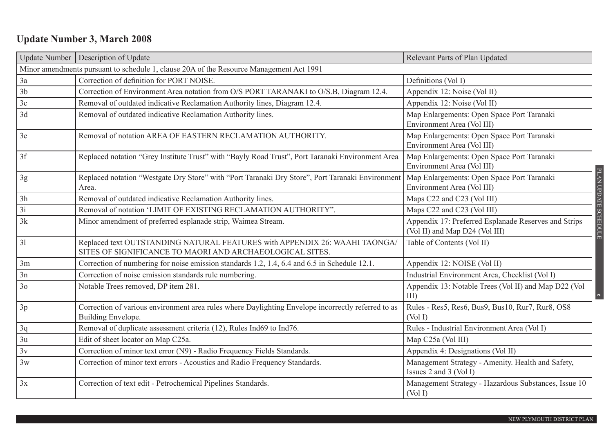## **Update Number 3, March 2008**

|                | Update Number   Description of Update                                                                                                  | Relevant Parts of Plan Updated                                                         |                      |  |  |
|----------------|----------------------------------------------------------------------------------------------------------------------------------------|----------------------------------------------------------------------------------------|----------------------|--|--|
|                | Minor amendments pursuant to schedule 1, clause 20A of the Resource Management Act 1991                                                |                                                                                        |                      |  |  |
| 3a             | Correction of definition for PORT NOISE.                                                                                               | Definitions (Vol I)                                                                    |                      |  |  |
| 3 <sub>b</sub> | Correction of Environment Area notation from O/S PORT TARANAKI to O/S.B, Diagram 12.4.                                                 | Appendix 12: Noise (Vol II)                                                            |                      |  |  |
| 3c             | Removal of outdated indicative Reclamation Authority lines, Diagram 12.4.                                                              | Appendix 12: Noise (Vol II)                                                            |                      |  |  |
| 3d             | Removal of outdated indicative Reclamation Authority lines.                                                                            | Map Enlargements: Open Space Port Taranaki<br>Environment Area (Vol III)               |                      |  |  |
| 3e             | Removal of notation AREA OF EASTERN RECLAMATION AUTHORITY.                                                                             | Map Enlargements: Open Space Port Taranaki<br>Environment Area (Vol III)               |                      |  |  |
| 3f             | Replaced notation "Grey Institute Trust" with "Bayly Road Trust", Port Taranaki Environment Area                                       | Map Enlargements: Open Space Port Taranaki<br>Environment Area (Vol III)               |                      |  |  |
| 3g             | Replaced notation "Westgate Dry Store" with "Port Taranaki Dry Store", Port Taranaki Environment<br>Area.                              | Map Enlargements: Open Space Port Taranaki<br>Environment Area (Vol III)               | PLAN UPDATE SCHEDULE |  |  |
| 3h             | Removal of outdated indicative Reclamation Authority lines.                                                                            | Maps C22 and C23 (Vol III)                                                             |                      |  |  |
| 3i             | Removal of notation 'LIMIT OF EXISTING RECLAMATION AUTHORITY".                                                                         | Maps C22 and C23 (Vol III)                                                             |                      |  |  |
| 3k             | Minor amendment of preferred esplanade strip, Waimea Stream.                                                                           | Appendix 17: Preferred Esplanade Reserves and Strips<br>(Vol II) and Map D24 (Vol III) |                      |  |  |
| 31             | Replaced text OUTSTANDING NATURAL FEATURES with APPENDIX 26: WAAHI TAONGA/<br>SITES OF SIGNIFICANCE TO MAORI AND ARCHAEOLOGICAL SITES. | Table of Contents (Vol II)                                                             |                      |  |  |
| 3m             | Correction of numbering for noise emission standards 1.2, 1.4, 6.4 and 6.5 in Schedule 12.1.                                           | Appendix 12: NOISE (Vol II)                                                            |                      |  |  |
| 3n             | Correction of noise emission standards rule numbering.                                                                                 | Industrial Environment Area, Checklist (Vol I)                                         |                      |  |  |
| 3 <sub>o</sub> | Notable Trees removed, DP item 281.                                                                                                    | Appendix 13: Notable Trees (Vol II) and Map D22 (Vol<br>$III$ )                        | $\mathbf{c}$         |  |  |
| 3p             | Correction of various environment area rules where Daylighting Envelope incorrectly referred to as<br>Building Envelope.               | Rules - Res5, Res6, Bus9, Bus10, Rur7, Rur8, OS8<br>(Vol I)                            |                      |  |  |
| 3q             | Removal of duplicate assessment criteria (12), Rules Ind69 to Ind76.                                                                   | Rules - Industrial Environment Area (Vol I)                                            |                      |  |  |
| 3u             | Edit of sheet locator on Map C25a.                                                                                                     | Map C25a (Vol III)                                                                     |                      |  |  |
| 3v             | Correction of minor text error (N9) - Radio Frequency Fields Standards.                                                                | Appendix 4: Designations (Vol II)                                                      |                      |  |  |
| 3w             | Correction of minor text errors - Acoustics and Radio Frequency Standards.                                                             | Management Strategy - Amenity. Health and Safety,<br>Issues 2 and 3 (Vol I)            |                      |  |  |
| 3x             | Correction of text edit - Petrochemical Pipelines Standards.                                                                           | Management Strategy - Hazardous Substances, Issue 10<br>(Vol I)                        |                      |  |  |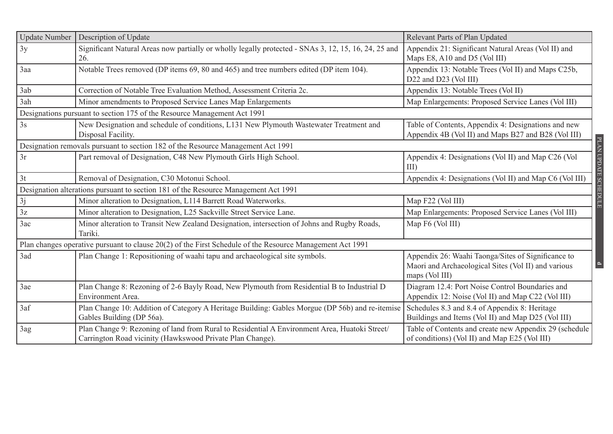| <b>Update Number</b> | Description of Update                                                                                                                                      | Relevant Parts of Plan Updated                                                                                              |
|----------------------|------------------------------------------------------------------------------------------------------------------------------------------------------------|-----------------------------------------------------------------------------------------------------------------------------|
| 3y                   | Significant Natural Areas now partially or wholly legally protected - SNAs 3, 12, 15, 16, 24, 25 and<br>26.                                                | Appendix 21: Significant Natural Areas (Vol II) and<br>Maps E8, A10 and D5 (Vol III)                                        |
| 3aa                  | Notable Trees removed (DP items 69, 80 and 465) and tree numbers edited (DP item 104).                                                                     | Appendix 13: Notable Trees (Vol II) and Maps C25b,<br>D22 and D23 (Vol III)                                                 |
| 3ab                  | Correction of Notable Tree Evaluation Method, Assessment Criteria 2c.                                                                                      | Appendix 13: Notable Trees (Vol II)                                                                                         |
| 3ah                  | Minor amendments to Proposed Service Lanes Map Enlargements                                                                                                | Map Enlargements: Proposed Service Lanes (Vol III)                                                                          |
|                      | Designations pursuant to section 175 of the Resource Management Act 1991                                                                                   |                                                                                                                             |
| 3s                   | New Designation and schedule of conditions, L131 New Plymouth Wastewater Treatment and<br>Disposal Facility.                                               | Table of Contents, Appendix 4: Designations and new<br>Appendix 4B (Vol II) and Maps B27 and B28 (Vol III)                  |
|                      | Designation removals pursuant to section 182 of the Resource Management Act 1991                                                                           |                                                                                                                             |
| 3r                   | Part removal of Designation, C48 New Plymouth Girls High School.                                                                                           | Appendix 4: Designations (Vol II) and Map C26 (Vol<br>$III$ )                                                               |
| 3t                   | Removal of Designation, C30 Motonui School.                                                                                                                | Appendix 4: Designations (Vol II) and Map C6 (Vol III)                                                                      |
|                      | Designation alterations pursuant to section 181 of the Resource Management Act 1991                                                                        |                                                                                                                             |
| 3j                   | Minor alteration to Designation, L114 Barrett Road Waterworks.                                                                                             | Map F22 (Vol III)                                                                                                           |
| 3z                   | Minor alteration to Designation, L25 Sackville Street Service Lane.                                                                                        | Map Enlargements: Proposed Service Lanes (Vol III)                                                                          |
| 3ac                  | Minor alteration to Transit New Zealand Designation, intersection of Johns and Rugby Roads,<br>Tariki.                                                     | Map F6 (Vol III)                                                                                                            |
|                      | Plan changes operative pursuant to clause 20(2) of the First Schedule of the Resource Management Act 1991                                                  |                                                                                                                             |
| 3ad                  | Plan Change 1: Repositioning of waahi tapu and archaeological site symbols.                                                                                | Appendix 26: Waahi Taonga/Sites of Significance to<br>Maori and Archaeological Sites (Vol II) and various<br>maps (Vol III) |
| 3ae                  | Plan Change 8: Rezoning of 2-6 Bayly Road, New Plymouth from Residential B to Industrial D<br>Environment Area.                                            | Diagram 12.4: Port Noise Control Boundaries and<br>Appendix 12: Noise (Vol II) and Map C22 (Vol III)                        |
| 3af                  | Plan Change 10: Addition of Category A Heritage Building: Gables Morgue (DP 56b) and re-itemise<br>Gables Building (DP 56a).                               | Schedules 8.3 and 8.4 of Appendix 8: Heritage<br>Buildings and Items (Vol II) and Map D25 (Vol III)                         |
| 3ag                  | Plan Change 9: Rezoning of land from Rural to Residential A Environment Area, Huatoki Street/<br>Carrington Road vicinity (Hawkswood Private Plan Change). | Table of Contents and create new Appendix 29 (schedule<br>of conditions) (Vol II) and Map E25 (Vol III)                     |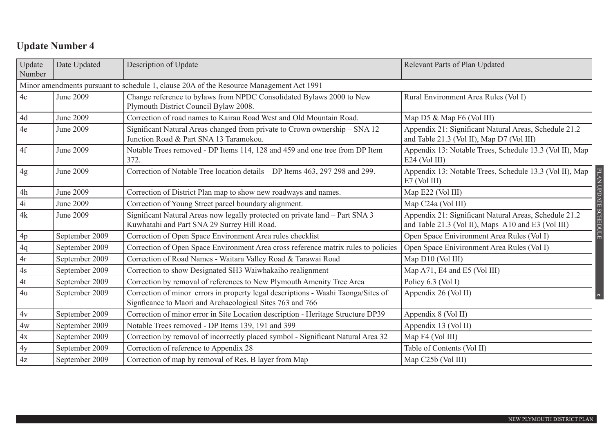| Update<br>Number | Date Updated                                                                            | Description of Update                                                                                                                          | Relevant Parts of Plan Updated                                                                                                      |  |  |
|------------------|-----------------------------------------------------------------------------------------|------------------------------------------------------------------------------------------------------------------------------------------------|-------------------------------------------------------------------------------------------------------------------------------------|--|--|
|                  | Minor amendments pursuant to schedule 1, clause 20A of the Resource Management Act 1991 |                                                                                                                                                |                                                                                                                                     |  |  |
| 4c               | June 2009                                                                               | Change reference to bylaws from NPDC Consolidated Bylaws 2000 to New<br>Plymouth District Council Bylaw 2008.                                  | Rural Environment Area Rules (Vol I)                                                                                                |  |  |
| $4d$             | June 2009                                                                               | Correction of road names to Kairau Road West and Old Mountain Road.                                                                            | Map D5 & Map F6 (Vol III)                                                                                                           |  |  |
| 4e               | June 2009                                                                               | Significant Natural Areas changed from private to Crown ownership - SNA 12<br>Junction Road & Part SNA 13 Taramokou.                           | Appendix 21: Significant Natural Areas, Schedule 21.2<br>and Table 21.3 (Vol II), Map D7 (Vol III)                                  |  |  |
| 4f               | June 2009                                                                               | Notable Trees removed - DP Items 114, 128 and 459 and one tree from DP Item<br>372.                                                            | Appendix 13: Notable Trees, Schedule 13.3 (Vol II), Map<br>$E24$ (Vol III)                                                          |  |  |
| 4g               | June 2009                                                                               | Correction of Notable Tree location details - DP Items 463, 297 298 and 299.                                                                   | Appendix 13: Notable Trees, Schedule 13.3 (Vol II), Map<br>$E7$ (Vol III)                                                           |  |  |
| 4h               | June 2009                                                                               | Correction of District Plan map to show new roadways and names.                                                                                | Map E22 (Vol III)                                                                                                                   |  |  |
| 4i               | June 2009                                                                               | Correction of Young Street parcel boundary alignment.                                                                                          | Map C24a (Vol III)                                                                                                                  |  |  |
| 4k               | June 2009                                                                               | Significant Natural Areas now legally protected on private land – Part SNA 3<br>Kuwhatahi and Part SNA 29 Surrey Hill Road.                    | PLAN UPDATE SCHEDULE<br>Appendix 21: Significant Natural Areas, Schedule 21.2<br>and Table 21.3 (Vol II), Maps A10 and E3 (Vol III) |  |  |
| $4\mathrm{p}$    | September 2009                                                                          | Correction of Open Space Environment Area rules checklist                                                                                      | Open Space Enivironment Area Rules (Vol I)                                                                                          |  |  |
| 4q               | September 2009                                                                          | Correction of Open Space Environment Area cross reference matrix rules to policies                                                             | Open Space Enivironment Area Rules (Vol I)                                                                                          |  |  |
| $4r$             | September 2009                                                                          | Correction of Road Names - Waitara Valley Road & Tarawai Road                                                                                  | Map D10 (Vol III)                                                                                                                   |  |  |
| 4s               | September 2009                                                                          | Correction to show Designated SH3 Waiwhakaiho realignment                                                                                      | Map A71, E4 and E5 (Vol III)                                                                                                        |  |  |
| 4t               | September 2009                                                                          | Correction by removal of references to New Plymouth Amenity Tree Area                                                                          | Policy 6.3 (Vol I)                                                                                                                  |  |  |
| 4u               | September 2009                                                                          | Correction of minor errors in property legal descriptions - Waahi Taonga/Sites of<br>Signficance to Maori and Archaeological Sites 763 and 766 | Appendix 26 (Vol II)<br>$\bullet$                                                                                                   |  |  |
| 4v               | September 2009                                                                          | Correction of minor error in Site Location description - Heritage Structure DP39                                                               | Appendix 8 (Vol II)                                                                                                                 |  |  |
| 4w               | September 2009                                                                          | Notable Trees removed - DP Items 139, 191 and 399                                                                                              | Appendix 13 (Vol II)                                                                                                                |  |  |
| 4x               | September 2009                                                                          | Correction by removal of incorrectly placed symbol - Significant Natural Area 32                                                               | Map F4 (Vol III)                                                                                                                    |  |  |
| 4y               | September 2009                                                                          | Correction of reference to Appendix 28                                                                                                         | Table of Contents (Vol II)                                                                                                          |  |  |
| 4z               | September 2009                                                                          | Correction of map by removal of Res. B layer from Map                                                                                          | Map C25b (Vol III)                                                                                                                  |  |  |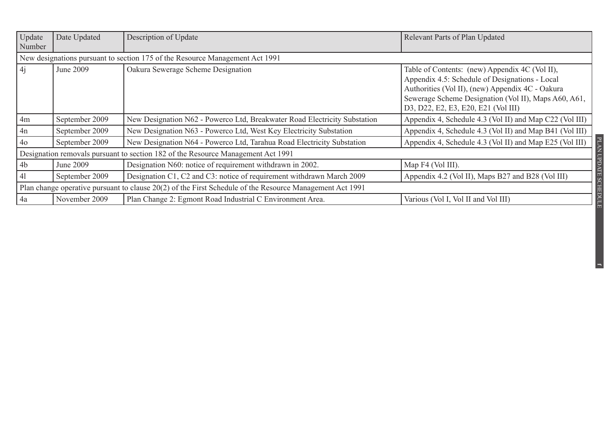| <b>Update</b>  | Date Updated                                                                                                                | Description of Update                                                            | Relevant Parts of Plan Updated                                                                                                                                                                                                                      |  |
|----------------|-----------------------------------------------------------------------------------------------------------------------------|----------------------------------------------------------------------------------|-----------------------------------------------------------------------------------------------------------------------------------------------------------------------------------------------------------------------------------------------------|--|
| Number         |                                                                                                                             |                                                                                  |                                                                                                                                                                                                                                                     |  |
|                |                                                                                                                             | New designations pursuant to section 175 of the Resource Management Act 1991     |                                                                                                                                                                                                                                                     |  |
| $\frac{4}{1}$  | June 2009                                                                                                                   | Oakura Sewerage Scheme Designation                                               | Table of Contents: (new) Appendix 4C (Vol II),<br>Appendix 4.5: Schedule of Designations - Local<br>Authorities (Vol II), (new) Appendix 4C - Oakura<br>Sewerage Scheme Designation (Vol II), Maps A60, A61,<br>D3, D22, E2, E3, E20, E21 (Vol III) |  |
| 4m             | September 2009                                                                                                              | New Designation N62 - Powerco Ltd, Breakwater Road Electricity Substation        | Appendix 4, Schedule 4.3 (Vol II) and Map C22 (Vol III)                                                                                                                                                                                             |  |
| 4n             | September 2009                                                                                                              | New Designation N63 - Powerco Ltd, West Key Electricity Substation               | Appendix 4, Schedule 4.3 (Vol II) and Map B41 (Vol III)                                                                                                                                                                                             |  |
| 4 <sub>o</sub> | September 2009                                                                                                              | New Designation N64 - Powerco Ltd, Tarahua Road Electricity Substation           | $_{\rm PLAM}$<br>Appendix 4, Schedule 4.3 (Vol II) and Map E25 (Vol III)                                                                                                                                                                            |  |
|                |                                                                                                                             | Designation removals pursuant to section 182 of the Resource Management Act 1991 |                                                                                                                                                                                                                                                     |  |
| 4 <sub>b</sub> | June 2009                                                                                                                   | Designation N60: notice of requirement withdrawn in 2002.                        | Map F4 (Vol III).                                                                                                                                                                                                                                   |  |
| 41             | September 2009                                                                                                              | Designation C1, C2 and C3: notice of requirement withdrawn March 2009            | Appendix 4.2 (Vol II), Maps B27 and B28 (Vol III)                                                                                                                                                                                                   |  |
|                | UPDATE SCHEDULE<br>Plan change operative pursuant to clause 20(2) of the First Schedule of the Resource Management Act 1991 |                                                                                  |                                                                                                                                                                                                                                                     |  |
| 4a             | November 2009                                                                                                               | Plan Change 2: Egmont Road Industrial C Environment Area.                        | Various (Vol I, Vol II and Vol III)                                                                                                                                                                                                                 |  |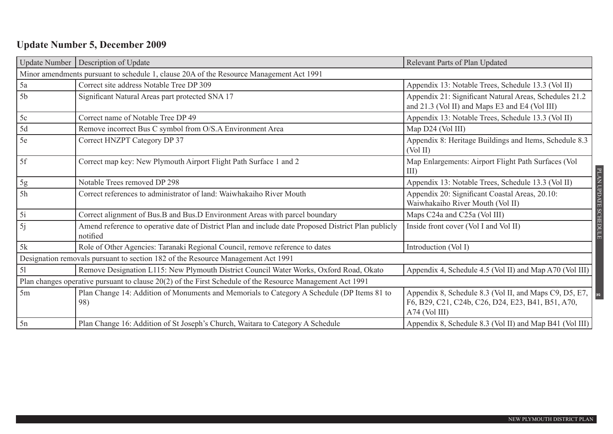### **Update Number 5, December 2009**

| <b>Update Number</b>                                                                                      | Description of Update                                                                                           | Relevant Parts of Plan Updated                                                                                                 |  |  |
|-----------------------------------------------------------------------------------------------------------|-----------------------------------------------------------------------------------------------------------------|--------------------------------------------------------------------------------------------------------------------------------|--|--|
|                                                                                                           | Minor amendments pursuant to schedule 1, clause 20A of the Resource Management Act 1991                         |                                                                                                                                |  |  |
| 5a                                                                                                        | Correct site address Notable Tree DP 309                                                                        | Appendix 13: Notable Trees, Schedule 13.3 (Vol II)                                                                             |  |  |
| 5 <sub>b</sub>                                                                                            | Significant Natural Areas part protected SNA 17                                                                 | Appendix 21: Significant Natural Areas, Schedules 21.2<br>and 21.3 (Vol II) and Maps E3 and E4 (Vol III)                       |  |  |
| 5c                                                                                                        | Correct name of Notable Tree DP 49                                                                              | Appendix 13: Notable Trees, Schedule 13.3 (Vol II)                                                                             |  |  |
| 5d                                                                                                        | Remove incorrect Bus C symbol from O/S.A Environment Area                                                       | Map D24 (Vol III)                                                                                                              |  |  |
| 5e                                                                                                        | Correct HNZPT Category DP 37                                                                                    | Appendix 8: Heritage Buildings and Items, Schedule 8.3<br>(Vol II)                                                             |  |  |
| 5f                                                                                                        | Correct map key: New Plymouth Airport Flight Path Surface 1 and 2                                               | Map Enlargements: Airport Flight Path Surfaces (Vol<br>III)                                                                    |  |  |
| 5g                                                                                                        | Notable Trees removed DP 298                                                                                    | Appendix 13: Notable Trees, Schedule 13.3 (Vol II)                                                                             |  |  |
| 5h                                                                                                        | Correct references to administrator of land: Waiwhakaiho River Mouth                                            | Appendix 20: Significant Coastal Areas, 20.10:<br>Waiwhakaiho River Mouth (Vol II)                                             |  |  |
| 5i                                                                                                        | Correct alignment of Bus.B and Bus.D Environment Areas with parcel boundary                                     | Maps C24a and C25a (Vol III)                                                                                                   |  |  |
| 5j                                                                                                        | Amend reference to operative date of District Plan and include date Proposed District Plan publicly<br>notified | Inside front cover (Vol I and Vol II)                                                                                          |  |  |
| 5k                                                                                                        | Role of Other Agencies: Taranaki Regional Council, remove reference to dates                                    | Introduction (Vol I)                                                                                                           |  |  |
|                                                                                                           | Designation removals pursuant to section 182 of the Resource Management Act 1991                                |                                                                                                                                |  |  |
| 51                                                                                                        | Remove Designation L115: New Plymouth District Council Water Works, Oxford Road, Okato                          | Appendix 4, Schedule 4.5 (Vol II) and Map A70 (Vol III)                                                                        |  |  |
| Plan changes operative pursuant to clause 20(2) of the First Schedule of the Resource Management Act 1991 |                                                                                                                 |                                                                                                                                |  |  |
| 5m                                                                                                        | Plan Change 14: Addition of Monuments and Memorials to Category A Schedule (DP Items 81 to<br>98)               | Appendix 8, Schedule 8.3 (Vol II, and Maps C9, D5, E7,<br>F6, B29, C21, C24b, C26, D24, E23, B41, B51, A70,<br>$A74$ (Vol III) |  |  |
| 5n                                                                                                        | Plan Change 16: Addition of St Joseph's Church, Waitara to Category A Schedule                                  | Appendix 8, Schedule 8.3 (Vol II) and Map B41 (Vol III)                                                                        |  |  |

**g**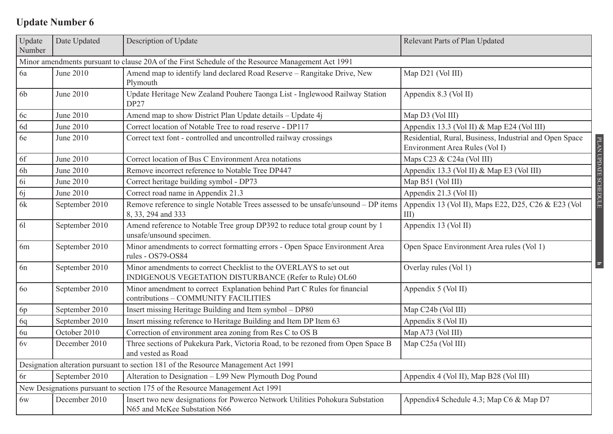| Update<br>Number | Date Updated                                                                                      | Description of Update                                                                                                      | Relevant Parts of Plan Updated                                                            |                      |  |
|------------------|---------------------------------------------------------------------------------------------------|----------------------------------------------------------------------------------------------------------------------------|-------------------------------------------------------------------------------------------|----------------------|--|
|                  | Minor amendments pursuant to clause 20A of the First Schedule of the Resource Management Act 1991 |                                                                                                                            |                                                                                           |                      |  |
| 6a               | June 2010                                                                                         | Amend map to identify land declared Road Reserve - Rangitake Drive, New<br>Plymouth                                        | Map D21 (Vol III)                                                                         |                      |  |
| 6b               | June 2010                                                                                         | Update Heritage New Zealand Pouhere Taonga List - Inglewood Railway Station<br>DP27                                        | Appendix 8.3 (Vol II)                                                                     |                      |  |
| 6c               | June 2010                                                                                         | Amend map to show District Plan Update details - Update 4j                                                                 | Map D3 (Vol III)                                                                          |                      |  |
| 6d               | June 2010                                                                                         | Correct location of Notable Tree to road reserve - DP117                                                                   | Appendix 13.3 (Vol II) & Map E24 (Vol III)                                                |                      |  |
| 6e               | June 2010                                                                                         | Correct text font - controlled and uncontrolled railway crossings                                                          | Residential, Rural, Business, Industrial and Open Space<br>Environment Area Rules (Vol I) | PLAN UPDATE SCHEDULE |  |
| 6f               | June 2010                                                                                         | Correct location of Bus C Environment Area notations                                                                       | Maps C23 & C24a (Vol III)                                                                 |                      |  |
| 6h               | <b>June 2010</b>                                                                                  | Remove incorrect reference to Notable Tree DP447                                                                           | Appendix 13.3 (Vol II) & Map E3 (Vol III)                                                 |                      |  |
| 6i               | June 2010                                                                                         | Correct heritage building symbol - DP73                                                                                    | Map B51 (Vol III)                                                                         |                      |  |
| 6j               | June 2010                                                                                         | Correct road name in Appendix 21.3                                                                                         | Appendix 21.3 (Vol II)                                                                    |                      |  |
| 6k               | September 2010                                                                                    | Remove reference to single Notable Trees assessed to be unsafe/unsound - DP items<br>8, 33, 294 and 333                    | Appendix 13 (Vol II), Maps E22, D25, C26 & E23 (Vol<br>III)                               |                      |  |
| 61               | September 2010                                                                                    | Amend reference to Notable Tree group DP392 to reduce total group count by 1<br>unsafe/unsound specimen.                   | Appendix 13 (Vol II)                                                                      |                      |  |
| 6m               | September 2010                                                                                    | Minor amendments to correct formatting errors - Open Space Environment Area<br>rules - OS79-OS84                           | Open Space Environment Area rules (Vol 1)                                                 |                      |  |
| 6n               | September 2010                                                                                    | Minor amendments to correct Checklist to the OVERLAYS to set out<br>INDIGENOUS VEGETATION DISTURBANCE (Refer to Rule) OL60 | Overlay rules (Vol 1)                                                                     | $\overline{a}$       |  |
| 60               | September 2010                                                                                    | Minor amendment to correct Explanation behind Part C Rules for financial<br>contributions - COMMUNITY FACILITIES           | Appendix 5 (Vol II)                                                                       |                      |  |
| 6p               | September 2010                                                                                    | Insert missing Heritage Building and Item symbol - DP80                                                                    | Map C24b (Vol III)                                                                        |                      |  |
| 6q               | September 2010                                                                                    | Insert missing reference to Heritage Building and Item DP Item 63                                                          | Appendix 8 (Vol II)                                                                       |                      |  |
| 6u               | October 2010                                                                                      | Correction of environment area zoning from Res C to OS B                                                                   | Map A73 (Vol III)                                                                         |                      |  |
| 6v               | December 2010                                                                                     | Three sections of Pukekura Park, Victoria Road, to be rezoned from Open Space B<br>and vested as Road                      | Map C25a (Vol III)                                                                        |                      |  |
|                  | Designation alteration pursuant to section 181 of the Resource Management Act 1991                |                                                                                                                            |                                                                                           |                      |  |
| 6r               | September 2010                                                                                    | Alteration to Designation - L99 New Plymouth Dog Pound                                                                     | Appendix 4 (Vol II), Map B28 (Vol III)                                                    |                      |  |
|                  |                                                                                                   | New Designations pursuant to section 175 of the Resource Management Act 1991                                               |                                                                                           |                      |  |
| 6w               | December 2010                                                                                     | Insert two new designations for Powerco Network Utilities Pohokura Substation<br>N65 and McKee Substation N66              | Appendix4 Schedule 4.3; Map C6 & Map D7                                                   |                      |  |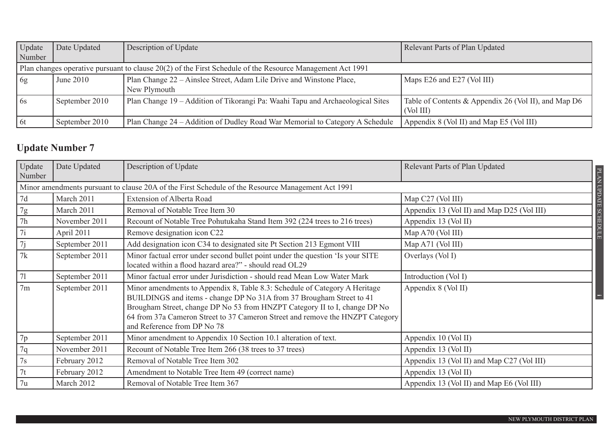| Update | Date Updated   | Description of Update                                                                                     | Relevant Parts of Plan Updated                       |
|--------|----------------|-----------------------------------------------------------------------------------------------------------|------------------------------------------------------|
| Number |                |                                                                                                           |                                                      |
|        |                | Plan changes operative pursuant to clause 20(2) of the First Schedule of the Resource Management Act 1991 |                                                      |
| 6g     | June $2010$    | Plan Change 22 – Ainslee Street, Adam Lile Drive and Winstone Place,                                      | Maps E26 and E27 (Vol III)                           |
|        |                | New Plymouth                                                                                              |                                                      |
| 6s     | September 2010 | Plan Change 19 - Addition of Tikorangi Pa: Waahi Tapu and Archaeological Sites                            | Table of Contents & Appendix 26 (Vol II), and Map D6 |
|        |                |                                                                                                           | (Vol III)                                            |
| 6t     | September 2010 | Plan Change 24 – Addition of Dudley Road War Memorial to Category A Schedule                              | Appendix 8 (Vol II) and Map E5 (Vol III)             |

| Update<br>Number | Date Updated                                                                                      | Description of Update                                                                                                                                                                                                                                                                                                                            | Relevant Parts of Plan Updated             |  |  |  |
|------------------|---------------------------------------------------------------------------------------------------|--------------------------------------------------------------------------------------------------------------------------------------------------------------------------------------------------------------------------------------------------------------------------------------------------------------------------------------------------|--------------------------------------------|--|--|--|
|                  | Minor amendments pursuant to clause 20A of the First Schedule of the Resource Management Act 1991 |                                                                                                                                                                                                                                                                                                                                                  |                                            |  |  |  |
| 7d               | March 2011                                                                                        | Extension of Alberta Road                                                                                                                                                                                                                                                                                                                        | Map C27 (Vol III)                          |  |  |  |
| 7g               | March 2011                                                                                        | Removal of Notable Tree Item 30                                                                                                                                                                                                                                                                                                                  | Appendix 13 (Vol II) and Map D25 (Vol III) |  |  |  |
| 7h               | November 2011                                                                                     | Recount of Notable Tree Pohutukaha Stand Item 392 (224 trees to 216 trees)                                                                                                                                                                                                                                                                       | <b>TIOUEH</b><br>Appendix 13 (Vol II)      |  |  |  |
| 7i               | April 2011                                                                                        | Remove designation icon C22                                                                                                                                                                                                                                                                                                                      | Map A70 (Vol III)                          |  |  |  |
| 7j               | September 2011                                                                                    | Add designation icon C34 to designated site Pt Section 213 Egmont VIII                                                                                                                                                                                                                                                                           | Map A71 (Vol III)                          |  |  |  |
| 7k               | September 2011                                                                                    | Minor factual error under second bullet point under the question 'Is your SITE<br>located within a flood hazard area?" - should read OL29                                                                                                                                                                                                        | Overlays (Vol I)                           |  |  |  |
| 71               | September 2011                                                                                    | Minor factual error under Jurisdiction - should read Mean Low Water Mark                                                                                                                                                                                                                                                                         | Introduction (Vol I)                       |  |  |  |
| 7 <sub>m</sub>   | September 2011                                                                                    | Minor amendments to Appendix 8, Table 8.3: Schedule of Category A Heritage<br>BUILDINGS and items - change DP No 31A from 37 Brougham Street to 41<br>Brougham Street, change DP No 53 from HNZPT Category II to I, change DP No<br>64 from 37a Cameron Street to 37 Cameron Street and remove the HNZPT Category<br>and Reference from DP No 78 | Appendix 8 (Vol II)                        |  |  |  |
| 7p               | September 2011                                                                                    | Minor amendment to Appendix 10 Section 10.1 alteration of text.                                                                                                                                                                                                                                                                                  | Appendix 10 (Vol II)                       |  |  |  |
| 7q               | November 2011                                                                                     | Recount of Notable Tree Item 266 (38 trees to 37 trees)                                                                                                                                                                                                                                                                                          | Appendix 13 (Vol II)                       |  |  |  |
| $7\mathrm{s}$    | February 2012                                                                                     | Removal of Notable Tree Item 302                                                                                                                                                                                                                                                                                                                 | Appendix 13 (Vol II) and Map C27 (Vol III) |  |  |  |
| 7t               | February 2012                                                                                     | Amendment to Notable Tree Item 49 (correct name)                                                                                                                                                                                                                                                                                                 | Appendix 13 (Vol II)                       |  |  |  |
| 7u               | March 2012                                                                                        | Removal of Notable Tree Item 367                                                                                                                                                                                                                                                                                                                 | Appendix 13 (Vol II) and Map E6 (Vol III)  |  |  |  |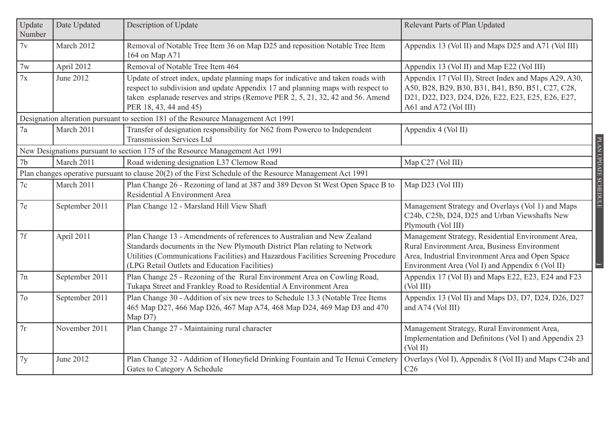| Update<br>Number | Date Updated   | Description of Update                                                                                                                                                                                                                                                                       | Relevant Parts of Plan Updated                                                                                                                                                                             |
|------------------|----------------|---------------------------------------------------------------------------------------------------------------------------------------------------------------------------------------------------------------------------------------------------------------------------------------------|------------------------------------------------------------------------------------------------------------------------------------------------------------------------------------------------------------|
| 7v               | March 2012     | Removal of Notable Tree Item 36 on Map D25 and reposition Notable Tree Item<br>164 on Map A71                                                                                                                                                                                               | Appendix 13 (Vol II) and Maps D25 and A71 (Vol III)                                                                                                                                                        |
| 7w               | April 2012     | Removal of Notable Tree Item 464                                                                                                                                                                                                                                                            | Appendix 13 (Vol II) and Map E22 (Vol III)                                                                                                                                                                 |
| 7x               | June 2012      | Update of street index, update planning maps for indicative and taken roads with<br>respect to subdivision and update Appendix 17 and planning maps with respect to<br>taken esplanade reserves and strips (Remove PER 2, 5, 21, 32, 42 and 56. Amend<br>PER 18, 43, 44 and 45)             | Appendix 17 (Vol II), Street Index and Maps A29, A30,<br>A50, B28, B29, B30, B31, B41, B50, B51, C27, C28,<br>D21, D22, D23, D24, D26, E22, E23, E25, E26, E27,<br>A61 and A72 (Vol III)                   |
|                  |                | Designation alteration pursuant to section 181 of the Resource Management Act 1991                                                                                                                                                                                                          |                                                                                                                                                                                                            |
| 7a               | March 2011     | Transfer of designation responsibility for N62 from Powerco to Independent<br><b>Transmission Services Ltd</b>                                                                                                                                                                              | Appendix 4 (Vol II)                                                                                                                                                                                        |
|                  |                | New Designations pursuant to section 175 of the Resource Management Act 1991                                                                                                                                                                                                                |                                                                                                                                                                                                            |
| 7 <sub>b</sub>   | March 2011     | Road widening designation L37 Clemow Road                                                                                                                                                                                                                                                   | Map C27 (Vol III)                                                                                                                                                                                          |
|                  |                | Plan changes operative pursuant to clause 20(2) of the First Schedule of the Resource Management Act 1991                                                                                                                                                                                   |                                                                                                                                                                                                            |
| 7c               | March 2011     | Plan Change 26 - Rezoning of land at 387 and 389 Devon St West Open Space B to<br>Residential A Environment Area                                                                                                                                                                            | Map D23 (Vol III)                                                                                                                                                                                          |
| 7e               | September 2011 | Plan Change 12 - Marsland Hill View Shaft                                                                                                                                                                                                                                                   | Management Strategy and Overlays (Vol 1) and Maps<br>C24b, C25b, D24, D25 and Urban Viewshafts New<br>Plymouth (Vol III)                                                                                   |
| 7f               | April 2011     | Plan Change 13 - Amendments of references to Australian and New Zealand<br>Standards documents in the New Plymouth District Plan relating to Network<br>Utilities (Communications Facilities) and Hazardous Facilities Screening Procedure<br>(LPG Retail Outlets and Education Facilities) | Management Strategy, Residential Environment Area,<br>Rural Environment Area, Business Environment<br>Area, Industrial Environment Area and Open Space<br>Environment Area (Vol I) and Appendix 6 (Vol II) |
| 7n               | September 2011 | Plan Change 25 - Rezoning of the Rural Environment Area on Cowling Road,<br>Tukapa Street and Frankley Road to Residential A Environment Area                                                                                                                                               | Appendix 17 (Vol II) and Maps E22, E23, E24 and F23<br>(Vol III)                                                                                                                                           |
| 7 <sub>o</sub>   | September 2011 | Plan Change 30 - Addition of six new trees to Schedule 13.3 (Notable Tree Items<br>465 Map D27, 466 Map D26, 467 Map A74, 468 Map D24, 469 Map D3 and 470<br>Map D7)                                                                                                                        | Appendix 13 (Vol II) and Maps D3, D7, D24, D26, D27<br>and A74 (Vol III)                                                                                                                                   |
| 7r               | November 2011  | Plan Change 27 - Maintaining rural character                                                                                                                                                                                                                                                | Management Strategy, Rural Environment Area,<br>Implementation and Definitons (Vol I) and Appendix 23<br>(Vol II)                                                                                          |
| 7y               | June 2012      | Plan Change 32 - Addition of Honeyfield Drinking Fountain and Te Henui Cemetery<br>Gates to Category A Schedule                                                                                                                                                                             | Overlays (Vol I), Appendix 8 (Vol II) and Maps C24b and<br>C <sub>26</sub>                                                                                                                                 |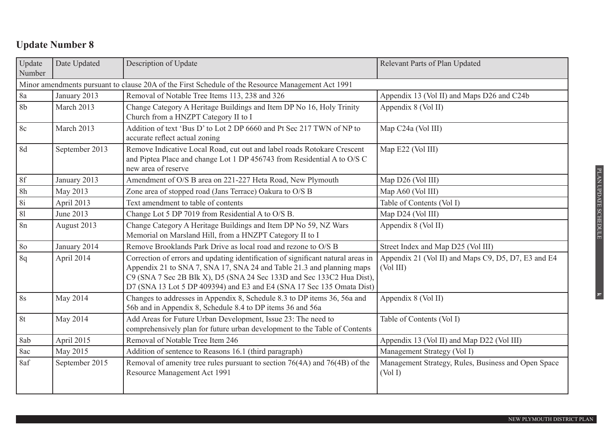| Update<br>Number | Date Updated                                                                                      | Description of Update                                                                                                                                                                                                                                                                                       | Relevant Parts of Plan Updated                                   |  |  |
|------------------|---------------------------------------------------------------------------------------------------|-------------------------------------------------------------------------------------------------------------------------------------------------------------------------------------------------------------------------------------------------------------------------------------------------------------|------------------------------------------------------------------|--|--|
|                  | Minor amendments pursuant to clause 20A of the First Schedule of the Resource Management Act 1991 |                                                                                                                                                                                                                                                                                                             |                                                                  |  |  |
| 8a               | January 2013                                                                                      | Removal of Notable Tree Items 113, 238 and 326                                                                                                                                                                                                                                                              | Appendix 13 (Vol II) and Maps D26 and C24b                       |  |  |
| 8 <sub>b</sub>   | March 2013                                                                                        | Change Category A Heritage Buildings and Item DP No 16, Holy Trinity<br>Church from a HNZPT Category II to I                                                                                                                                                                                                | Appendix 8 (Vol II)                                              |  |  |
| 8c               | March 2013                                                                                        | Addition of text 'Bus D' to Lot 2 DP 6660 and Pt Sec 217 TWN of NP to<br>accurate reflect actual zoning                                                                                                                                                                                                     | Map C24a (Vol III)                                               |  |  |
| 8d               | September 2013                                                                                    | Remove Indicative Local Road, cut out and label roads Rotokare Crescent<br>and Piptea Place and change Lot 1 DP 456743 from Residential A to O/S C<br>new area of reserve                                                                                                                                   | Map E22 (Vol III)                                                |  |  |
| 8f               | January 2013                                                                                      | Amendment of O/S B area on 221-227 Heta Road, New Plymouth                                                                                                                                                                                                                                                  | Map D26 (Vol III)                                                |  |  |
| 8h               | May 2013                                                                                          | Zone area of stopped road (Jans Terrace) Oakura to O/S B                                                                                                                                                                                                                                                    | Map A60 (Vol III)                                                |  |  |
| <b>8i</b>        | April 2013                                                                                        | Text amendment to table of contents                                                                                                                                                                                                                                                                         | Table of Contents (Vol I)                                        |  |  |
| 81               | June 2013                                                                                         | Change Lot 5 DP 7019 from Residential A to O/S B.                                                                                                                                                                                                                                                           | Map D24 (Vol III)                                                |  |  |
| 8n               | August 2013                                                                                       | Change Category A Heritage Buildings and Item DP No 59, NZ Wars<br>Memorial on Marsland Hill, from a HNZPT Category II to I                                                                                                                                                                                 | Appendix 8 (Vol II)                                              |  |  |
| 80               | January 2014                                                                                      | Remove Brooklands Park Drive as local road and rezone to O/S B                                                                                                                                                                                                                                              | Street Index and Map D25 (Vol III)                               |  |  |
| 8q               | April 2014                                                                                        | Correction of errors and updating identification of significant natural areas in<br>Appendix 21 to SNA 7, SNA 17, SNA 24 and Table 21.3 and planning maps<br>C9 (SNA 7 Sec 2B Blk X), D5 (SNA 24 Sec 133D and Sec 133C2 Hua Dist),<br>D7 (SNA 13 Lot 5 DP 409394) and E3 and E4 (SNA 17 Sec 135 Omata Dist) | Appendix 21 (Vol II) and Maps C9, D5, D7, E3 and E4<br>(Vol III) |  |  |
| 8s               | May 2014                                                                                          | Changes to addresses in Appendix 8, Schedule 8.3 to DP items 36, 56a and<br>56b and in Appendix 8, Schedule 8.4 to DP items 36 and 56a                                                                                                                                                                      | Appendix 8 (Vol II)                                              |  |  |
| 8t               | May 2014                                                                                          | Add Areas for Future Urban Development, Issue 23: The need to<br>comprehensively plan for future urban development to the Table of Contents                                                                                                                                                                 | Table of Contents (Vol I)                                        |  |  |
| 8ab              | April 2015                                                                                        | Removal of Notable Tree Item 246                                                                                                                                                                                                                                                                            | Appendix 13 (Vol II) and Map D22 (Vol III)                       |  |  |
| 8ac              | May 2015                                                                                          | Addition of sentence to Reasons 16.1 (third paragraph)                                                                                                                                                                                                                                                      | Management Strategy (Vol I)                                      |  |  |
| 8af              | September 2015                                                                                    | Removal of amenity tree rules pursuant to section 76(4A) and 76(4B) of the<br>Resource Management Act 1991                                                                                                                                                                                                  | Management Strategy, Rules, Business and Open Space<br>(Vol I)   |  |  |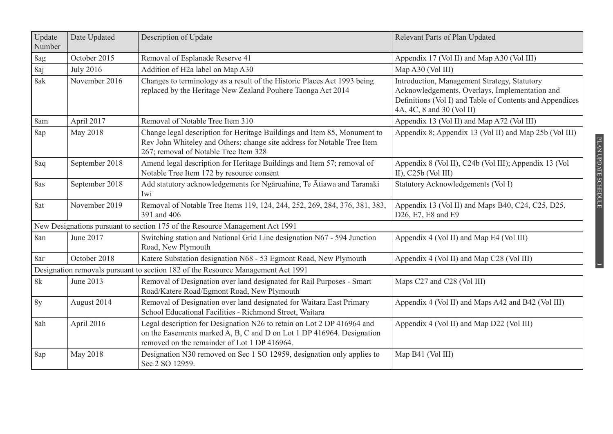| Update<br>Number                                                                 | Date Updated     | Description of Update                                                                                                                                                                           | Relevant Parts of Plan Updated                                                                                                                                                          |  |  |  |
|----------------------------------------------------------------------------------|------------------|-------------------------------------------------------------------------------------------------------------------------------------------------------------------------------------------------|-----------------------------------------------------------------------------------------------------------------------------------------------------------------------------------------|--|--|--|
| 8ag                                                                              | October 2015     | Removal of Esplanade Reserve 41                                                                                                                                                                 | Appendix 17 (Vol II) and Map A30 (Vol III)                                                                                                                                              |  |  |  |
| 8aj                                                                              | <b>July 2016</b> | Addition of H2a label on Map A30                                                                                                                                                                | Map A30 (Vol III)                                                                                                                                                                       |  |  |  |
| 8ak                                                                              | November 2016    | Changes to terminology as a result of the Historic Places Act 1993 being<br>replaced by the Heritage New Zealand Pouhere Taonga Act 2014                                                        | Introduction, Management Strategy, Statutory<br>Acknowledgements, Overlays, Implementation and<br>Definitions (Vol I) and Table of Contents and Appendices<br>4A, 4C, 8 and 30 (Vol II) |  |  |  |
| 8am                                                                              | April 2017       | Removal of Notable Tree Item 310                                                                                                                                                                | Appendix 13 (Vol II) and Map A72 (Vol III)                                                                                                                                              |  |  |  |
| 8ap                                                                              | May 2018         | Change legal description for Heritage Buildings and Item 85, Monument to<br>Rev John Whiteley and Others; change site address for Notable Tree Item<br>267; removal of Notable Tree Item 328    | Appendix 8; Appendix 13 (Vol II) and Map 25b (Vol III)                                                                                                                                  |  |  |  |
| 8aq                                                                              | September 2018   | Amend legal description for Heritage Buildings and Item 57; removal of<br>Notable Tree Item 172 by resource consent                                                                             | Appendix 8 (Vol II), C24b (Vol III); Appendix 13 (Vol<br>II), $C25b$ (Vol III)                                                                                                          |  |  |  |
| 8as                                                                              | September 2018   | Add statutory acknowledgements for Ngāruahine, Te Ātiawa and Taranaki<br>Iwi                                                                                                                    | Statutory Acknowledgements (Vol I)                                                                                                                                                      |  |  |  |
| 8at                                                                              | November 2019    | Removal of Notable Tree Items 119, 124, 244, 252, 269, 284, 376, 381, 383,<br>391 and 406                                                                                                       | Appendix 13 (Vol II) and Maps B40, C24, C25, D25,<br>D26, E7, E8 and E9                                                                                                                 |  |  |  |
| New Designations pursuant to section 175 of the Resource Management Act 1991     |                  |                                                                                                                                                                                                 |                                                                                                                                                                                         |  |  |  |
| 8an                                                                              | June 2017        | Switching station and National Grid Line designation N67 - 594 Junction<br>Road, New Plymouth                                                                                                   | Appendix 4 (Vol II) and Map E4 (Vol III)                                                                                                                                                |  |  |  |
| 8ar                                                                              | October 2018     | Katere Substation designation N68 - 53 Egmont Road, New Plymouth                                                                                                                                | Appendix 4 (Vol II) and Map C28 (Vol III)                                                                                                                                               |  |  |  |
| Designation removals pursuant to section 182 of the Resource Management Act 1991 |                  |                                                                                                                                                                                                 |                                                                                                                                                                                         |  |  |  |
| 8k                                                                               | June 2013        | Removal of Designation over land designated for Rail Purposes - Smart<br>Road/Katere Road/Egmont Road, New Plymouth                                                                             | Maps C27 and C28 (Vol III)                                                                                                                                                              |  |  |  |
| 8y                                                                               | August 2014      | Removal of Designation over land designated for Waitara East Primary<br>School Educational Facilities - Richmond Street, Waitara                                                                | Appendix 4 (Vol II) and Maps A42 and B42 (Vol III)                                                                                                                                      |  |  |  |
| 8ah                                                                              | April 2016       | Legal description for Designation N26 to retain on Lot 2 DP 416964 and<br>on the Easements marked A, B, C and D on Lot 1 DP 416964. Designation<br>removed on the remainder of Lot 1 DP 416964. | Appendix 4 (Vol II) and Map D22 (Vol III)                                                                                                                                               |  |  |  |
| 8ap                                                                              | May 2018         | Designation N30 removed on Sec 1 SO 12959, designation only applies to<br>Sec 2 SO 12959.                                                                                                       | Map B41 (Vol III)                                                                                                                                                                       |  |  |  |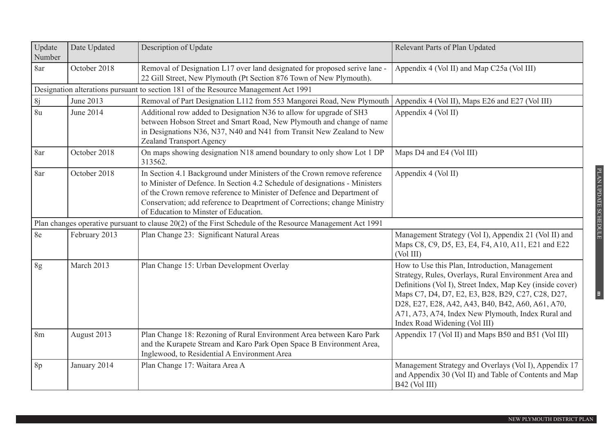| Update<br>Number                                                                    | Date Updated  | Description of Update                                                                                                                                                                                                                                                                                                                                  | Relevant Parts of Plan Updated                                                                                                                                                                                                                                                                                                                                        |  |  |  |  |
|-------------------------------------------------------------------------------------|---------------|--------------------------------------------------------------------------------------------------------------------------------------------------------------------------------------------------------------------------------------------------------------------------------------------------------------------------------------------------------|-----------------------------------------------------------------------------------------------------------------------------------------------------------------------------------------------------------------------------------------------------------------------------------------------------------------------------------------------------------------------|--|--|--|--|
| 8ar                                                                                 | October 2018  | Removal of Designation L17 over land designated for proposed serive lane -<br>22 Gill Street, New Plymouth (Pt Section 876 Town of New Plymouth).                                                                                                                                                                                                      | Appendix 4 (Vol II) and Map C25a (Vol III)                                                                                                                                                                                                                                                                                                                            |  |  |  |  |
| Designation alterations pursuant to section 181 of the Resource Management Act 1991 |               |                                                                                                                                                                                                                                                                                                                                                        |                                                                                                                                                                                                                                                                                                                                                                       |  |  |  |  |
| 8j                                                                                  | June 2013     | Removal of Part Designation L112 from 553 Mangorei Road, New Plymouth                                                                                                                                                                                                                                                                                  | Appendix 4 (Vol II), Maps E26 and E27 (Vol III)                                                                                                                                                                                                                                                                                                                       |  |  |  |  |
| 8u                                                                                  | June 2014     | Additional row added to Designation N36 to allow for upgrade of SH3<br>between Hobson Street and Smart Road, New Plymouth and change of name<br>in Designations N36, N37, N40 and N41 from Transit New Zealand to New<br>Zealand Transport Agency                                                                                                      | Appendix 4 (Vol II)                                                                                                                                                                                                                                                                                                                                                   |  |  |  |  |
| 8ar                                                                                 | October 2018  | On maps showing designation N18 amend boundary to only show Lot 1 DP<br>313562.                                                                                                                                                                                                                                                                        | Maps D4 and E4 (Vol III)                                                                                                                                                                                                                                                                                                                                              |  |  |  |  |
| 8ar                                                                                 | October 2018  | In Section 4.1 Background under Ministers of the Crown remove reference<br>to Minister of Defence. In Section 4.2 Schedule of designations - Ministers<br>of the Crown remove reference to Minister of Defence and Department of<br>Conservation; add reference to Deaprtment of Corrections; change Ministry<br>of Education to Minster of Education. | Appendix 4 (Vol II)                                                                                                                                                                                                                                                                                                                                                   |  |  |  |  |
|                                                                                     |               | Plan changes operative pursuant to clause 20(2) of the First Schedule of the Resource Management Act 1991                                                                                                                                                                                                                                              |                                                                                                                                                                                                                                                                                                                                                                       |  |  |  |  |
| 8e                                                                                  | February 2013 | Plan Change 23: Significant Natural Areas                                                                                                                                                                                                                                                                                                              | Management Strategy (Vol I), Appendix 21 (Vol II) and<br>Maps C8, C9, D5, E3, E4, F4, A10, A11, E21 and E22<br>(Vol III)                                                                                                                                                                                                                                              |  |  |  |  |
| 8g                                                                                  | March 2013    | Plan Change 15: Urban Development Overlay                                                                                                                                                                                                                                                                                                              | How to Use this Plan, Introduction, Management<br>Strategy, Rules, Overlays, Rural Environment Area and<br>Definitions (Vol I), Street Index, Map Key (inside cover)<br>Maps C7, D4, D7, E2, E3, B28, B29, C27, C28, D27,<br>D28, E27, E28, A42, A43, B40, B42, A60, A61, A70,<br>A71, A73, A74, Index New Plymouth, Index Rural and<br>Index Road Widening (Vol III) |  |  |  |  |
| 8 <sub>m</sub>                                                                      | August 2013   | Plan Change 18: Rezoning of Rural Environment Area between Karo Park<br>and the Kurapete Stream and Karo Park Open Space B Environment Area,<br>Inglewood, to Residential A Environment Area                                                                                                                                                           | Appendix 17 (Vol II) and Maps B50 and B51 (Vol III)                                                                                                                                                                                                                                                                                                                   |  |  |  |  |
| 8p                                                                                  | January 2014  | Plan Change 17: Waitara Area A                                                                                                                                                                                                                                                                                                                         | Management Strategy and Overlays (Vol I), Appendix 17<br>and Appendix 30 (Vol II) and Table of Contents and Map<br>B42 (Vol III)                                                                                                                                                                                                                                      |  |  |  |  |

**m**